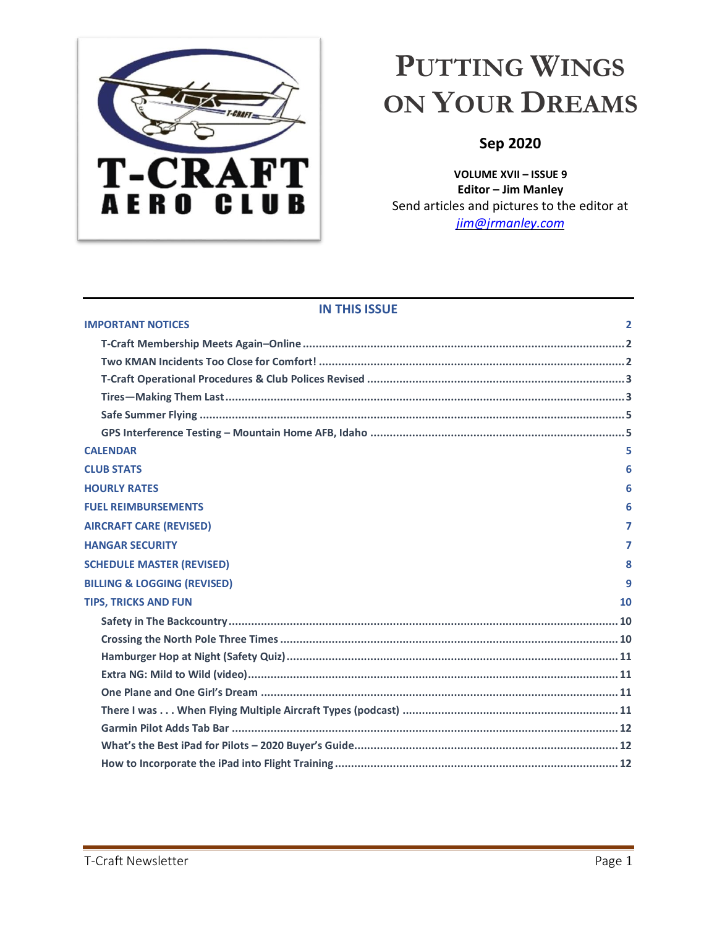

# <span id="page-0-0"></span>**PUTTING WINGS ON YOUR DREAMS**

## **Sep 2020**

**VOLUME XVII – ISSUE 9 Editor – Jim Manley** Send articles and pictures to the editor at *[jim@jrmanley.com](mailto:jim@jrmanley.com)*

## **IN THIS ISSUE**

| <b>IMPORTANT NOTICES</b>               | $\overline{2}$ |
|----------------------------------------|----------------|
|                                        |                |
|                                        |                |
|                                        |                |
|                                        |                |
|                                        |                |
|                                        |                |
| <b>CALENDAR</b>                        | 5              |
| <b>CLUB STATS</b>                      | 6              |
| <b>HOURLY RATES</b>                    | 6              |
| <b>FUEL REIMBURSEMENTS</b>             | 6              |
| <b>AIRCRAFT CARE (REVISED)</b>         | 7              |
| <b>HANGAR SECURITY</b>                 | 7              |
| <b>SCHEDULE MASTER (REVISED)</b>       | 8              |
| <b>BILLING &amp; LOGGING (REVISED)</b> | 9              |
| <b>TIPS, TRICKS AND FUN</b>            | 10             |
|                                        |                |
|                                        |                |
|                                        |                |
|                                        |                |
|                                        |                |
|                                        |                |
|                                        |                |
|                                        |                |
|                                        |                |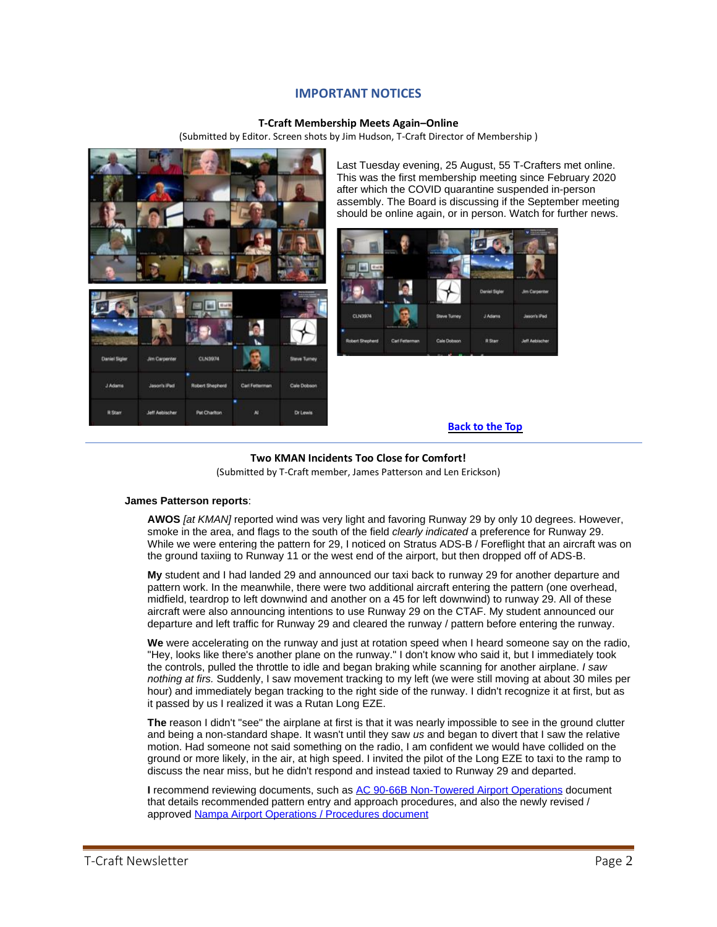## **IMPORTANT NOTICES**

## **T-Craft Membership Meets Again–Online**

(Submitted by Editor. Screen shots by Jim Hudson, T-Craft Director of Membership )

<span id="page-1-1"></span><span id="page-1-0"></span>

Last Tuesday evening, 25 August, 55 T-Crafters met online. This was the first membership meeting since February 2020 after which the COVID quarantine suspended in-person assembly. The Board is discussing if the September meeting should be online again, or in person. Watch for further news.



## **[Back](#page-0-0) to the Top**

# **Two KMAN Incidents Too Close for Comfort!**

(Submitted by T-Craft member, James Patterson and Len Erickson)

### <span id="page-1-2"></span>**James Patterson reports**:

**AWOS** *[at KMAN]* reported wind was very light and favoring Runway 29 by only 10 degrees. However, smoke in the area, and flags to the south of the field *clearly indicated* a preference for Runway 29. While we were entering the pattern for 29, I noticed on Stratus ADS-B / Foreflight that an aircraft was on the ground taxiing to Runway 11 or the west end of the airport, but then dropped off of ADS-B.

**My** student and I had landed 29 and announced our taxi back to runway 29 for another departure and pattern work. In the meanwhile, there were two additional aircraft entering the pattern (one overhead, midfield, teardrop to left downwind and another on a 45 for left downwind) to runway 29. All of these aircraft were also announcing intentions to use Runway 29 on the CTAF. My student announced our departure and left traffic for Runway 29 and cleared the runway / pattern before entering the runway.

**We** were accelerating on the runway and just at rotation speed when I heard someone say on the radio, "Hey, looks like there's another plane on the runway." I don't know who said it, but I immediately took the controls, pulled the throttle to idle and began braking while scanning for another airplane. *I saw nothing at firs.* Suddenly, I saw movement tracking to my left (we were still moving at about 30 miles per hour) and immediately began tracking to the right side of the runway. I didn't recognize it at first, but as it passed by us I realized it was a Rutan Long EZE.

**The** reason I didn't "see" the airplane at first is that it was nearly impossible to see in the ground clutter and being a non-standard shape. It wasn't until they saw *us* and began to divert that I saw the relative motion. Had someone not said something on the radio, I am confident we would have collided on the ground or more likely, in the air, at high speed. I invited the pilot of the Long EZE to taxi to the ramp to discuss the near miss, but he didn't respond and instead taxied to Runway 29 and departed.

**I** recommend reviewing documents, such as [AC 90-66B Non-Towered Airport Operations](https://www.faa.gov/regulations_policies/advisory_circulars/index.cfm/go/document.information/documentID/1032988#:~:text=This%20AC%20calls%20attention%20to,that%20operates%20only%20part%20time.) document that details recommended pattern entry and approach procedures, and also the newly revised / approved [Nampa Airport Operations / Procedures document](https://cityofnampa.us/DocumentCenter/View/11768/KMAN-Rules--Regulations-07-20-2020---ADOPTED)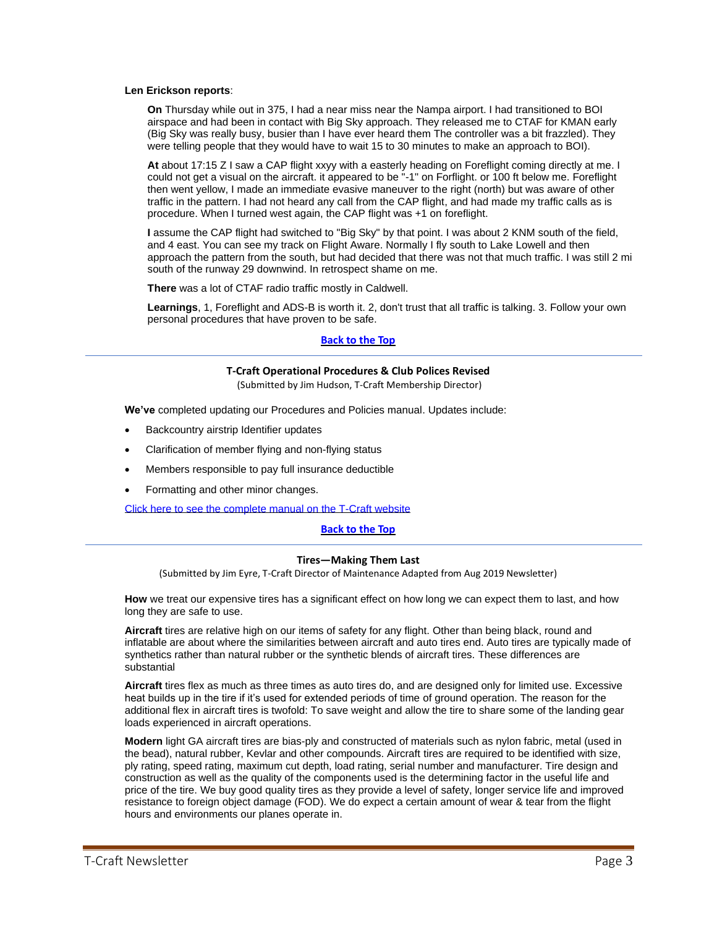#### **Len Erickson reports**:

**On** Thursday while out in 375, I had a near miss near the Nampa airport. I had transitioned to BOI airspace and had been in contact with Big Sky approach. They released me to CTAF for KMAN early (Big Sky was really busy, busier than I have ever heard them The controller was a bit frazzled). They were telling people that they would have to wait 15 to 30 minutes to make an approach to BOI).

**At** about 17:15 Z I saw a CAP flight xxyy with a easterly heading on Foreflight coming directly at me. I could not get a visual on the aircraft. it appeared to be "-1" on Forflight. or 100 ft below me. Foreflight then went yellow, I made an immediate evasive maneuver to the right (north) but was aware of other traffic in the pattern. I had not heard any call from the CAP flight, and had made my traffic calls as is procedure. When I turned west again, the CAP flight was +1 on foreflight.

**I** assume the CAP flight had switched to "Big Sky" by that point. I was about 2 KNM south of the field, and 4 east. You can see my track on Flight Aware. Normally I fly south to Lake Lowell and then approach the pattern from the south, but had decided that there was not that much traffic. I was still 2 mi south of the runway 29 downwind. In retrospect shame on me.

**There** was a lot of CTAF radio traffic mostly in Caldwell.

**Learnings**, 1, Foreflight and ADS-B is worth it. 2, don't trust that all traffic is talking. 3. Follow your own personal procedures that have proven to be safe.

## **[Back](#page-0-0) to the Top**

#### **T-Craft Operational Procedures & Club Polices Revised**

(Submitted by Jim Hudson, T-Craft Membership Director)

<span id="page-2-0"></span>**We've** completed updating our Procedures and Policies manual. Updates include:

- Backcountry airstrip Identifier updates
- Clarification of member flying and non-flying status
- Members responsible to pay full insurance deductible
- Formatting and other minor changes.

[Click here to see the complete manual on the T-Craft website](http://www.t-craft.org/Reference/T-Craft_Information_Packet.pdf)

## **[Back](#page-0-0) to the Top**

#### **Tires—Making Them Last**

(Submitted by Jim Eyre, T-Craft Director of Maintenance Adapted from Aug 2019 Newsletter)

<span id="page-2-1"></span>How we treat our expensive tires has a significant effect on how long we can expect them to last, and how long they are safe to use.

**Aircraft** tires are relative high on our items of safety for any flight. Other than being black, round and inflatable are about where the similarities between aircraft and auto tires end. Auto tires are typically made of synthetics rather than natural rubber or the synthetic blends of aircraft tires. These differences are substantial

**Aircraft** tires flex as much as three times as auto tires do, and are designed only for limited use. Excessive heat builds up in the tire if it's used for extended periods of time of ground operation. The reason for the additional flex in aircraft tires is twofold: To save weight and allow the tire to share some of the landing gear loads experienced in aircraft operations.

**Modern** light GA aircraft tires are bias-ply and constructed of materials such as nylon fabric, metal (used in the bead), natural rubber, Kevlar and other compounds. Aircraft tires are required to be identified with size, ply rating, speed rating, maximum cut depth, load rating, serial number and manufacturer. Tire design and construction as well as the quality of the components used is the determining factor in the useful life and price of the tire. We buy good quality tires as they provide a level of safety, longer service life and improved resistance to foreign object damage (FOD). We do expect a certain amount of wear & tear from the flight hours and environments our planes operate in.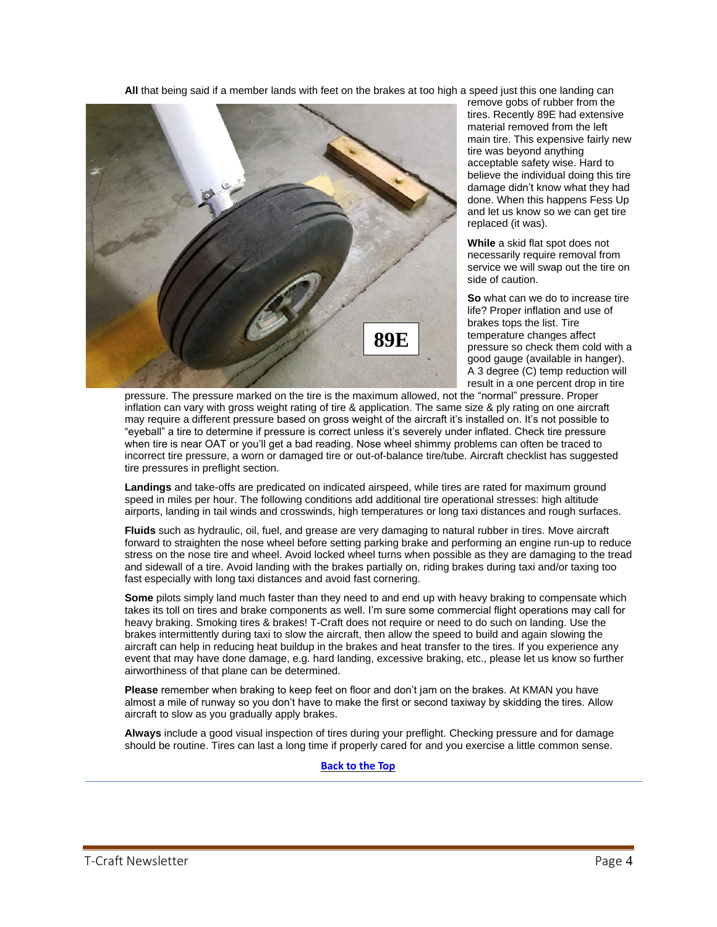**All** that being said if a member lands with feet on the brakes at too high a speed just this one landing can



remove gobs of rubber from the tires. Recently 89E had extensive material removed from the left main tire. This expensive fairly new tire was beyond anything acceptable safety wise. Hard to believe the individual doing this tire damage didn't know what they had done. When this happens Fess Up and let us know so we can get tire replaced (it was).

**While** a skid flat spot does not necessarily require removal from service we will swap out the tire on side of caution.

**So** what can we do to increase tire life? Proper inflation and use of brakes tops the list. Tire temperature changes affect pressure so check them cold with a good gauge (available in hanger). A 3 degree (C) temp reduction will result in a one percent drop in tire

pressure. The pressure marked on the tire is the maximum allowed, not the "normal" pressure. Proper **EE** inflation can vary with gross weight rating of tire & application. The same size & ply rating on one aircraft inflation can vary with gross weight rating of tire & application. The same size & ply rating on one aircraft<br>may require a different pressure based on gross weight of the aircraft it's installed on. It's not possible to "eyeball" a tire to determine if pressure is correct unless it's severely under inflated. Check tire pressure when tire is near OAT or you'll get a bad reading. Nose wheel shimmy problems can often be traced to incorrect tire pressure, a worn or damaged tire or out-of-balance tire/tube. Aircraft checklist has suggested tire pressures in preflight section.

**Landings** and take-offs are predicated on indicated airspeed, while tires are rated for maximum ground speed in miles per hour. The following conditions add additional tire operational stresses: high altitude airports, landing in tail winds and crosswinds, high temperatures or long taxi distances and rough surfaces.

**Fluids** such as hydraulic, oil, fuel, and grease are very damaging to natural rubber in tires. Move aircraft forward to straighten the nose wheel before setting parking brake and performing an engine run-up to reduce stress on the nose tire and wheel. Avoid locked wheel turns when possible as they are damaging to the tread and sidewall of a tire. Avoid landing with the brakes partially on, riding brakes during taxi and/or taxing too fast especially with long taxi distances and avoid fast cornering.

**Some** pilots simply land much faster than they need to and end up with heavy braking to compensate which takes its toll on tires and brake components as well. I'm sure some commercial flight operations may call for heavy braking. Smoking tires & brakes! T-Craft does not require or need to do such on landing. Use the brakes intermittently during taxi to slow the aircraft, then allow the speed to build and again slowing the aircraft can help in reducing heat buildup in the brakes and heat transfer to the tires. If you experience any event that may have done damage, e.g. hard landing, excessive braking, etc., please let us know so further airworthiness of that plane can be determined.

**Please** remember when braking to keep feet on floor and don't jam on the brakes. At KMAN you have almost a mile of runway so you don't have to make the first or second taxiway by skidding the tires. Allow aircraft to slow as you gradually apply brakes.

**Always** include a good visual inspection of tires during your preflight. Checking pressure and for damage should be routine. Tires can last a long time if properly cared for and you exercise a little common sense.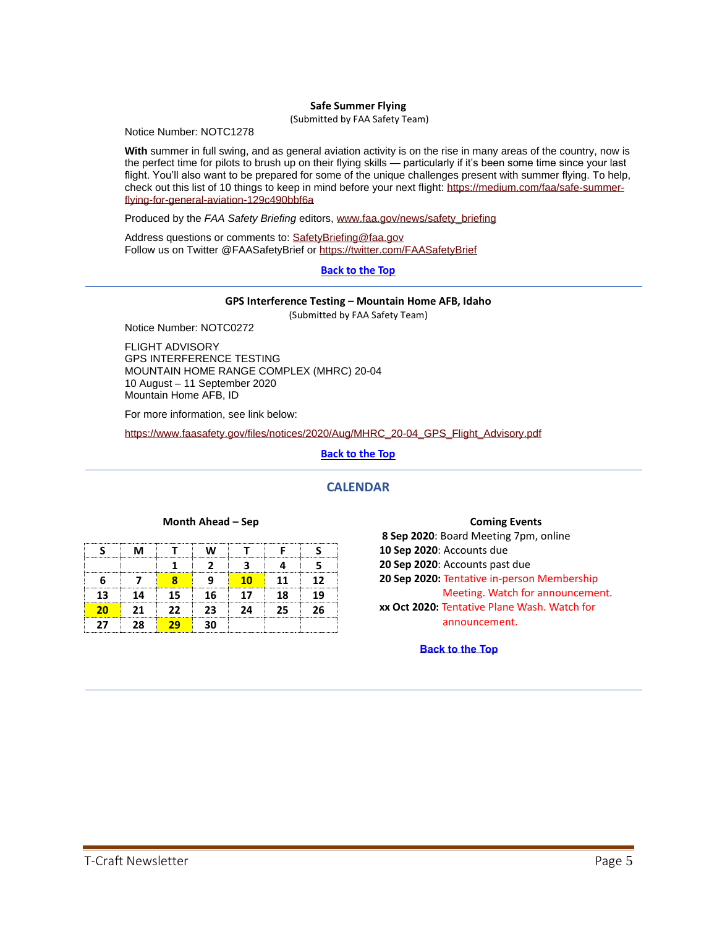### **Safe Summer Flying**

(Submitted by FAA Safety Team)

<span id="page-4-0"></span>Notice Number: NOTC1278

**With** summer in full swing, and as general aviation activity is on the rise in many areas of the country, now is the perfect time for pilots to brush up on their flying skills — particularly if it's been some time since your last flight. You'll also want to be prepared for some of the unique challenges present with summer flying. To help, check out this list of 10 things to keep in mind before your next flight: [https://medium.com/faa/safe-summer](https://medium.com/faa/safe-summer-flying-for-general-aviation-129c490bbf6a)[flying-for-general-aviation-129c490bbf6a](https://medium.com/faa/safe-summer-flying-for-general-aviation-129c490bbf6a)

Produced by the *FAA Safety Briefing* editors, [www.faa.gov/news/safety\\_briefing](http://www.faa.gov/news/safety_briefing)

Address questions or comments to: [SafetyBriefing@faa.gov](mailto:SafetyBriefing@faa.gov) Follow us on Twitter @FAASafetyBrief or <https://twitter.com/FAASafetyBrief>

## **[Back](#page-0-0) to the Top**

#### **GPS Interference Testing – Mountain Home AFB, Idaho**

(Submitted by FAA Safety Team)

<span id="page-4-1"></span>Notice Number: NOTC0272

FLIGHT ADVISORY GPS INTERFERENCE TESTING MOUNTAIN HOME RANGE COMPLEX (MHRC) 20-04 10 August – 11 September 2020 Mountain Home AFB, ID

For more information, see link below:

[https://www.faasafety.gov/files/notices/2020/Aug/MHRC\\_20-04\\_GPS\\_Flight\\_Advisory.pdf](https://www.faasafety.gov/files/notices/2020/Aug/MHRC_20-04_GPS_Flight_Advisory.pdf)

**[Back](#page-0-0) to the Top**

## **CALENDAR**

#### **Month Ahead – Sep**

<span id="page-4-2"></span>

|    | M  |     |     |    |    |        |
|----|----|-----|-----|----|----|--------|
|    |    |     |     |    |    |        |
|    |    |     |     | 10 | 11 | 12     |
| 13 | 14 | 15. | 16  | 17 | 18 | 19     |
| 20 | 21 | 22  | 23. | 24 | 25 | <br>26 |
| 27 | 28 |     | 20  |    |    |        |

#### **Coming Events**

**8 Sep 2020**: Board Meeting 7pm, online **10 Sep 2020**: Accounts due **20 Sep 2020**: Accounts past due **20 Sep 2020:** Tentative in-person Membership Meeting. Watch for announcement. **xx Oct 2020:** Tentative Plane Wash. Watch for announcement.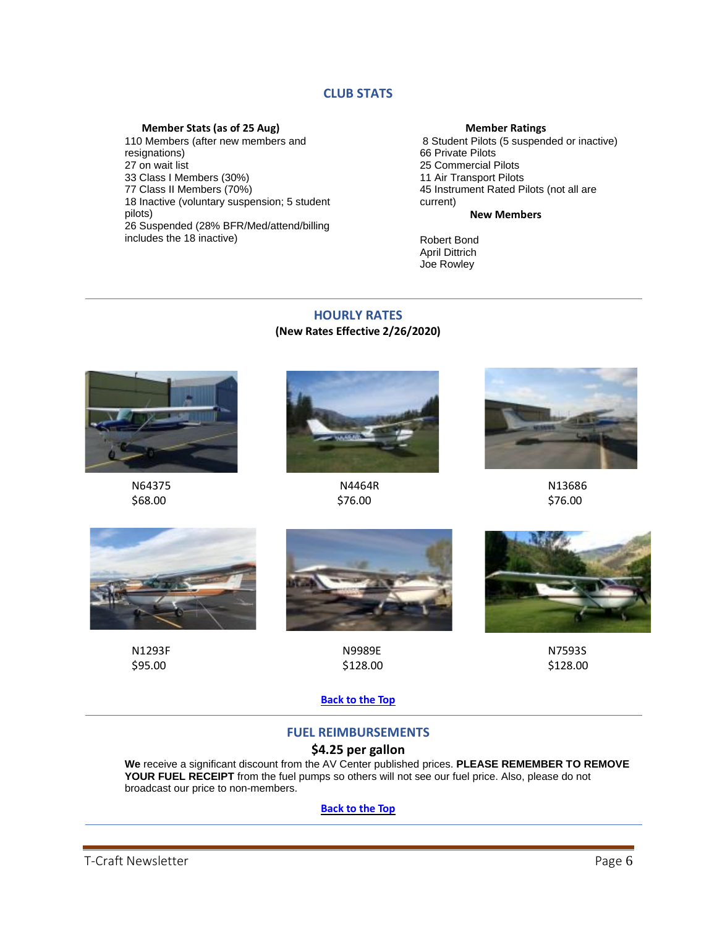## **CLUB STATS**

## **Member Stats (as of 25 Aug)**

<span id="page-5-0"></span>110 Members (after new members and resignations) 27 on wait list 33 Class I Members (30%) 77 Class II Members (70%) 18 Inactive (voluntary suspension; 5 student pilots) 26 Suspended (28% BFR/Med/attend/billing includes the 18 inactive)

## **Member Ratings**

8 Student Pilots (5 suspended or inactive) 66 Private Pilots 25 Commercial Pilots 11 Air Transport Pilots 45 Instrument Rated Pilots (not all are current)

## **New Members**

Robert Bond April Dittrich Joe Rowley

## **HOURLY RATES (New Rates Effective 2/26/2020)**

<span id="page-5-1"></span>



 N64375 N4464R N13686  $$68.00$  \$76.00 \$76.00







N1293F N9989E N7593S



 $$95.00$  \$128.00 \$128.00

**[Back](#page-0-0) to the Top**

## **FUEL REIMBURSEMENTS**

## **\$4.25 per gallon**

<span id="page-5-2"></span>**We** receive a significant discount from the AV Center published prices. **PLEASE REMEMBER TO REMOVE YOUR FUEL RECEIPT** from the fuel pumps so others will not see our fuel price. Also, please do not broadcast our price to non-members.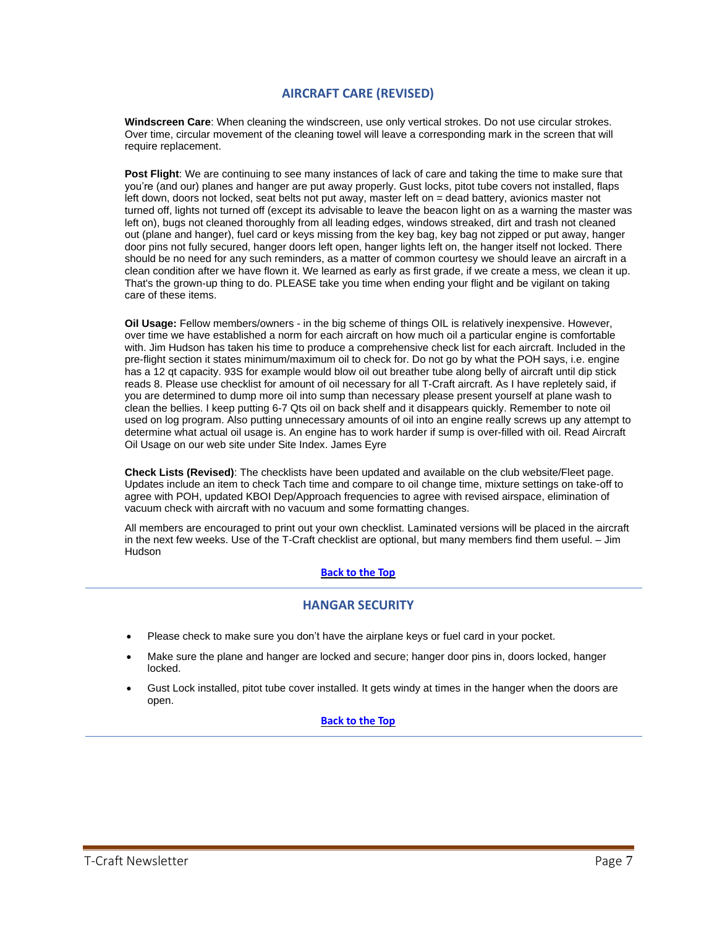## **AIRCRAFT CARE (REVISED)**

<span id="page-6-0"></span>**Windscreen Care**: When cleaning the windscreen, use only vertical strokes. Do not use circular strokes. Over time, circular movement of the cleaning towel will leave a corresponding mark in the screen that will require replacement.

**Post Flight**: We are continuing to see many instances of lack of care and taking the time to make sure that you're (and our) planes and hanger are put away properly. Gust locks, pitot tube covers not installed, flaps left down, doors not locked, seat belts not put away, master left on = dead battery, avionics master not turned off, lights not turned off (except its advisable to leave the beacon light on as a warning the master was left on), bugs not cleaned thoroughly from all leading edges, windows streaked, dirt and trash not cleaned out (plane and hanger), fuel card or keys missing from the key bag, key bag not zipped or put away, hanger door pins not fully secured, hanger doors left open, hanger lights left on, the hanger itself not locked. There should be no need for any such reminders, as a matter of common courtesy we should leave an aircraft in a clean condition after we have flown it. We learned as early as first grade, if we create a mess, we clean it up. That's the grown-up thing to do. PLEASE take you time when ending your flight and be vigilant on taking care of these items.

**Oil Usage:** Fellow members/owners - in the big scheme of things OIL is relatively inexpensive. However, over time we have established a norm for each aircraft on how much oil a particular engine is comfortable with. Jim Hudson has taken his time to produce a comprehensive check list for each aircraft. Included in the pre-flight section it states minimum/maximum oil to check for. Do not go by what the POH says, i.e. engine has a 12 qt capacity. 93S for example would blow oil out breather tube along belly of aircraft until dip stick reads 8. Please use checklist for amount of oil necessary for all T-Craft aircraft. As I have repletely said, if you are determined to dump more oil into sump than necessary please present yourself at plane wash to clean the bellies. I keep putting 6-7 Qts oil on back shelf and it disappears quickly. Remember to note oil used on log program. Also putting unnecessary amounts of oil into an engine really screws up any attempt to determine what actual oil usage is. An engine has to work harder if sump is over-filled with oil. Read Aircraft Oil Usage on our web site under Site Index. James Eyre

**Check Lists (Revised)**: The checklists have been updated and available on the club website/Fleet page. Updates include an item to check Tach time and compare to oil change time, mixture settings on take-off to agree with POH, updated KBOI Dep/Approach frequencies to agree with revised airspace, elimination of vacuum check with aircraft with no vacuum and some formatting changes.

All members are encouraged to print out your own checklist. Laminated versions will be placed in the aircraft in the next few weeks. Use of the T-Craft checklist are optional, but many members find them useful. – Jim **Hudson** 

## **[Back](#page-0-0) to the Top**

## **HANGAR SECURITY**

- <span id="page-6-1"></span>• Please check to make sure you don't have the airplane keys or fuel card in your pocket.
- Make sure the plane and hanger are locked and secure; hanger door pins in, doors locked, hanger locked.
- Gust Lock installed, pitot tube cover installed. It gets windy at times in the hanger when the doors are open.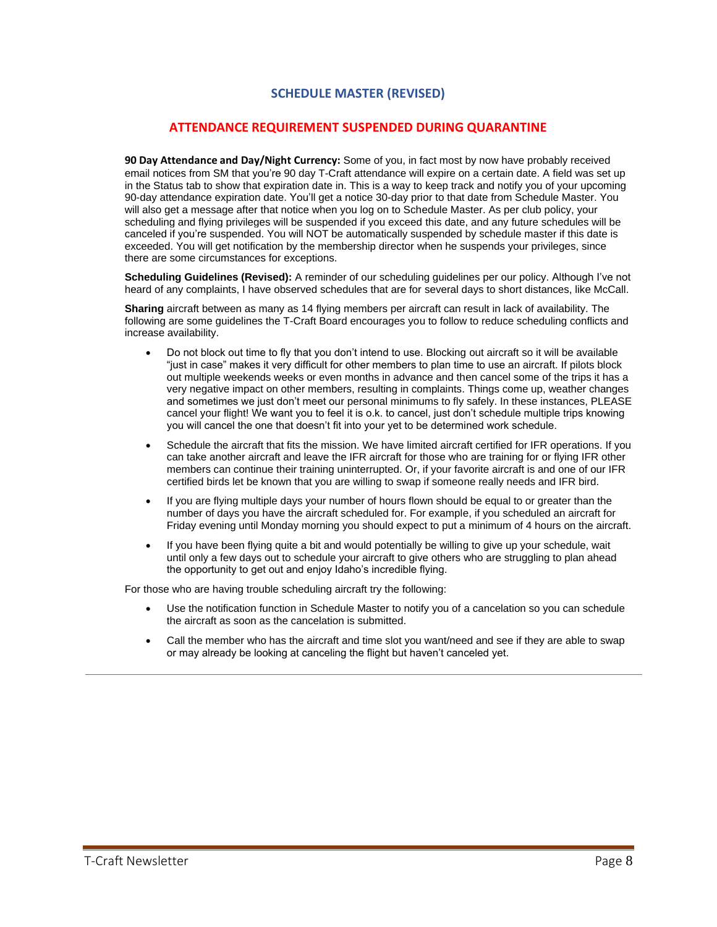## **SCHEDULE MASTER (REVISED)**

## **ATTENDANCE REQUIREMENT SUSPENDED DURING QUARANTINE**

<span id="page-7-0"></span>**90 Day Attendance and Day/Night Currency:** Some of you, in fact most by now have probably received email notices from SM that you're 90 day T-Craft attendance will expire on a certain date. A field was set up in the Status tab to show that expiration date in. This is a way to keep track and notify you of your upcoming 90-day attendance expiration date. You'll get a notice 30-day prior to that date from Schedule Master. You will also get a message after that notice when you log on to Schedule Master. As per club policy, your scheduling and flying privileges will be suspended if you exceed this date, and any future schedules will be canceled if you're suspended. You will NOT be automatically suspended by schedule master if this date is exceeded. You will get notification by the membership director when he suspends your privileges, since there are some circumstances for exceptions.

**Scheduling Guidelines (Revised):** A reminder of our scheduling guidelines per our policy. Although I've not heard of any complaints, I have observed schedules that are for several days to short distances, like McCall.

**Sharing** aircraft between as many as 14 flying members per aircraft can result in lack of availability. The following are some guidelines the T-Craft Board encourages you to follow to reduce scheduling conflicts and increase availability.

- Do not block out time to fly that you don't intend to use. Blocking out aircraft so it will be available "just in case" makes it very difficult for other members to plan time to use an aircraft. If pilots block out multiple weekends weeks or even months in advance and then cancel some of the trips it has a very negative impact on other members, resulting in complaints. Things come up, weather changes and sometimes we just don't meet our personal minimums to fly safely. In these instances, PLEASE cancel your flight! We want you to feel it is o.k. to cancel, just don't schedule multiple trips knowing you will cancel the one that doesn't fit into your yet to be determined work schedule.
- Schedule the aircraft that fits the mission. We have limited aircraft certified for IFR operations. If you can take another aircraft and leave the IFR aircraft for those who are training for or flying IFR other members can continue their training uninterrupted. Or, if your favorite aircraft is and one of our IFR certified birds let be known that you are willing to swap if someone really needs and IFR bird.
- If you are flying multiple days your number of hours flown should be equal to or greater than the number of days you have the aircraft scheduled for. For example, if you scheduled an aircraft for Friday evening until Monday morning you should expect to put a minimum of 4 hours on the aircraft.
- If you have been flying quite a bit and would potentially be willing to give up your schedule, wait until only a few days out to schedule your aircraft to give others who are struggling to plan ahead the opportunity to get out and enjoy Idaho's incredible flying.

For those who are having trouble scheduling aircraft try the following:

- Use the notification function in Schedule Master to notify you of a cancelation so you can schedule the aircraft as soon as the cancelation is submitted.
- Call the member who has the aircraft and time slot you want/need and see if they are able to swap or may already be looking at canceling the flight but haven't canceled yet.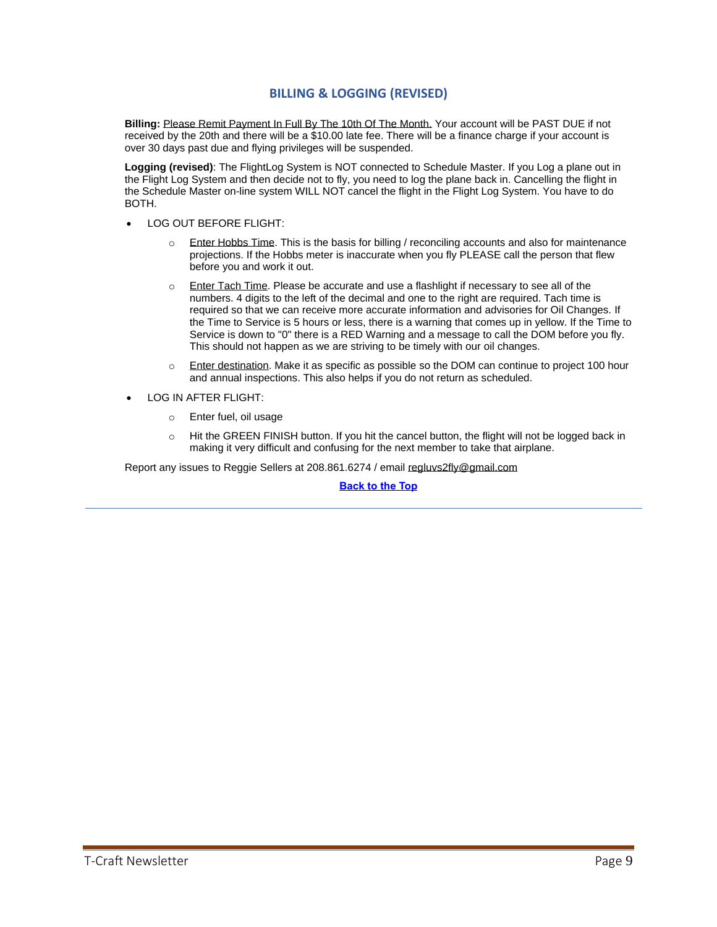## **BILLING & LOGGING (REVISED)**

<span id="page-8-0"></span>**Billing:** Please Remit Payment In Full By The 10th Of The Month. Your account will be PAST DUE if not received by the 20th and there will be a \$10.00 late fee. There will be a finance charge if your account is over 30 days past due and flying privileges will be suspended.

**Logging (revised)**: The FlightLog System is NOT connected to Schedule Master. If you Log a plane out in the Flight Log System and then decide not to fly, you need to log the plane back in. Cancelling the flight in the Schedule Master on-line system WILL NOT cancel the flight in the Flight Log System. You have to do BOTH.

- LOG OUT BEFORE FLIGHT:
	- $\circ$  Enter Hobbs Time. This is the basis for billing / reconciling accounts and also for maintenance projections. If the Hobbs meter is inaccurate when you fly PLEASE call the person that flew before you and work it out.
	- o Enter Tach Time. Please be accurate and use a flashlight if necessary to see all of the numbers. 4 digits to the left of the decimal and one to the right are required. Tach time is required so that we can receive more accurate information and advisories for Oil Changes. If the Time to Service is 5 hours or less, there is a warning that comes up in yellow. If the Time to Service is down to "0" there is a RED Warning and a message to call the DOM before you fly. This should not happen as we are striving to be timely with our oil changes.
	- o Enter destination. Make it as specific as possible so the DOM can continue to project 100 hour and annual inspections. This also helps if you do not return as scheduled.
- LOG IN AFTER FLIGHT:
	- o Enter fuel, oil usage
	- o Hit the GREEN FINISH button. If you hit the cancel button, the flight will not be logged back in making it very difficult and confusing for the next member to take that airplane.

Report any issues to Reggie Sellers at 208.861.6274 / email [regluvs2fly@gmail.com](mailto:regluvs2fly@gmail.com)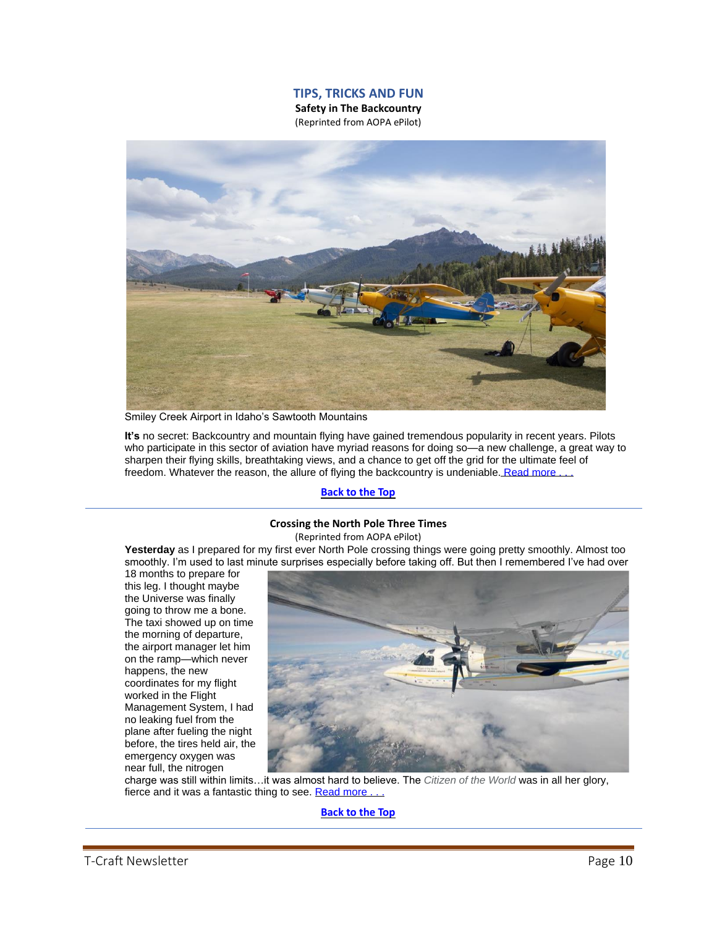## **TIPS, TRICKS AND FUN**

**Safety in The Backcountry** (Reprinted from AOPA ePilot)

<span id="page-9-1"></span><span id="page-9-0"></span>

Smiley Creek Airport in Idaho's Sawtooth Mountains

**It's** no secret: Backcountry and mountain flying have gained tremendous popularity in recent years. Pilots who participate in this sector of aviation have myriad reasons for doing so—a new challenge, a great way to sharpen their flying skills, breathtaking views, and a chance to get off the grid for the ultimate feel of freedom. Whatever the reason, the allure of flying the backcountry is undeniable. Read more.

## **[Back](#page-0-0) to the Top**

#### **Crossing the North Pole Three Times**

(Reprinted from AOPA ePilot)

<span id="page-9-2"></span>**Yesterday** as I prepared for my first ever North Pole crossing things were going pretty smoothly. Almost too smoothly. I'm used to last minute surprises especially before taking off. But then I remembered I've had over

18 months to prepare for this leg. I thought maybe the Universe was finally going to throw me a bone. The taxi showed up on time the morning of departure, the airport manager let him on the ramp—which never happens, the new coordinates for my flight worked in the Flight Management System, I had no leaking fuel from the plane after fueling the night before, the tires held air, the emergency oxygen was near full, the nitrogen



charge was still within limits…it was almost hard to believe. The *Citizen of the World* was in all her glory, fierce and it was a fantastic thing to see. Read more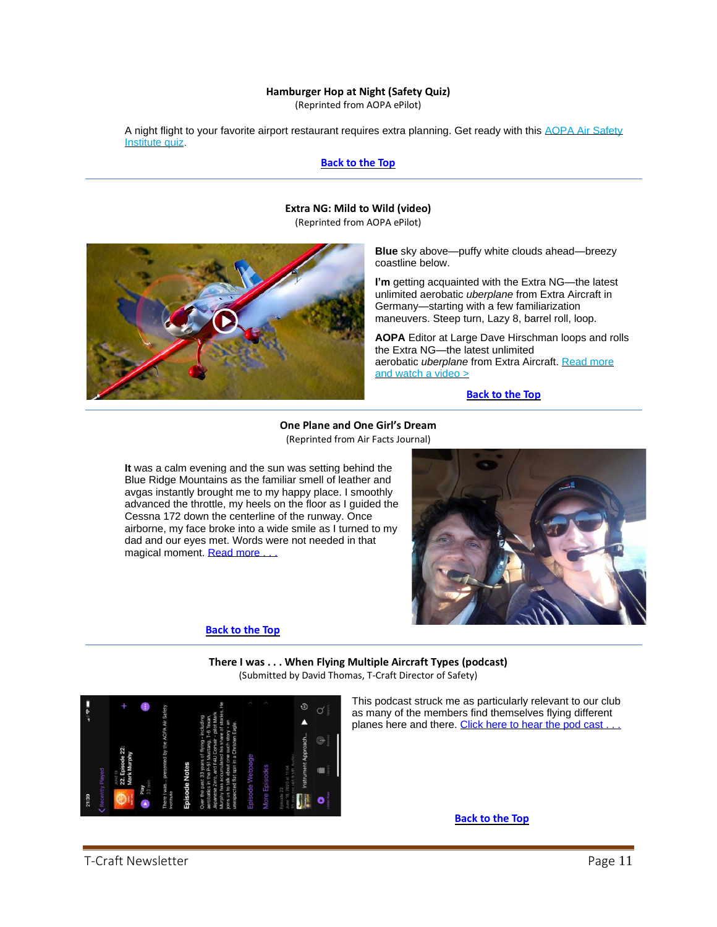#### **Hamburger Hop at Night (Safety Quiz)**

(Reprinted from AOPA ePilot)

<span id="page-10-0"></span>A night flight to your favorite airport restaurant requires extra planning. Get ready with this AOPA Air Safety [Institute quiz.](https://click.mail.aopa.org/?qs=b36ae66a8a3b916faa34f814832216de4d9b28a1dd2ecf12fb4da6023e98f142212de133708293e3fc932cf18b3731912883674cb07fa57a)

#### **[Back](#page-0-0) to the Top**

#### **Extra NG: Mild to Wild (video)**

(Reprinted from AOPA ePilot)

<span id="page-10-1"></span>

**Blue** sky above—puffy white clouds ahead—breezy coastline below.

**I'm** getting acquainted with the Extra NG—the latest unlimited aerobatic *uberplane* from Extra Aircraft in Germany—starting with a few familiarization maneuvers. Steep turn, Lazy 8, barrel roll, loop.

**AOPA** Editor at Large Dave Hirschman loops and rolls the Extra NG—the latest unlimited aerobatic *uberplane* from Extra Aircraft. [Read more](https://click.mail.aopa.org/?qs=ae30c19c7d7fbe1af87f2d4d6b609403ef73c64162fb589c61e661e16d71fea4ca56607986b05fc46b751273bcb1461837b6e02becaa72cc8dd4d7b5accc8f9e)  [and watch a video >](https://click.mail.aopa.org/?qs=ae30c19c7d7fbe1af87f2d4d6b609403ef73c64162fb589c61e661e16d71fea4ca56607986b05fc46b751273bcb1461837b6e02becaa72cc8dd4d7b5accc8f9e)

## **[Back](#page-0-0) to the Top**

**One Plane and One Girl's Dream** (Reprinted from Air Facts Journal)

<span id="page-10-2"></span>**It** was a calm evening and the sun was setting behind the Blue Ridge Mountains as the familiar smell of leather and avgas instantly brought me to my happy place. I smoothly advanced the throttle, my heels on the floor as I guided the Cessna 172 down the centerline of the runway. Once airborne, my face broke into a wide smile as I turned to my dad and our eyes met. Words were not needed in that magical moment. Read more .

### **[Back](#page-0-0) to the Top**



**There I was . . . When Flying Multiple Aircraft Types (podcast)** (Submitted by David Thomas, T-Craft Director of Safety)

<span id="page-10-3"></span>

This podcast struck me as particularly relevant to our club as many of the members find themselves flying different planes here and there. Click here to hear the pod cast.